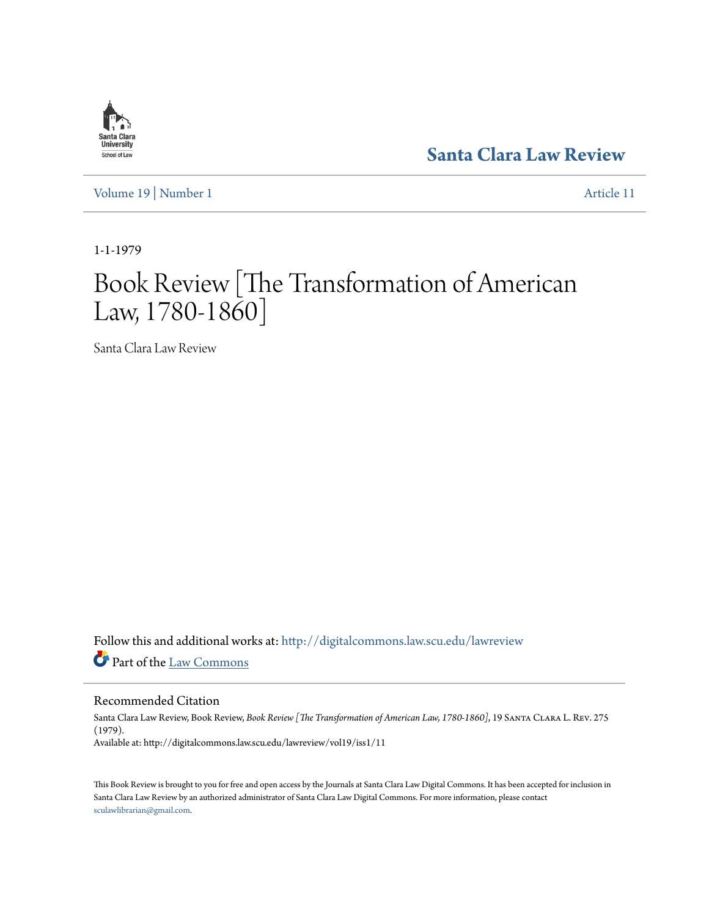[Volume 19](http://digitalcommons.law.scu.edu/lawreview/vol19?utm_source=digitalcommons.law.scu.edu%2Flawreview%2Fvol19%2Fiss1%2F11&utm_medium=PDF&utm_campaign=PDFCoverPages) | [Number 1](http://digitalcommons.law.scu.edu/lawreview/vol19/iss1?utm_source=digitalcommons.law.scu.edu%2Flawreview%2Fvol19%2Fiss1%2F11&utm_medium=PDF&utm_campaign=PDFCoverPages) [Article 11](http://digitalcommons.law.scu.edu/lawreview/vol19/iss1/11?utm_source=digitalcommons.law.scu.edu%2Flawreview%2Fvol19%2Fiss1%2F11&utm_medium=PDF&utm_campaign=PDFCoverPages)

**[Santa Clara Law Review](http://digitalcommons.law.scu.edu/lawreview?utm_source=digitalcommons.law.scu.edu%2Flawreview%2Fvol19%2Fiss1%2F11&utm_medium=PDF&utm_campaign=PDFCoverPages)**

1-1-1979

Santa Clara **University** School of Law

## Book Review [The Transformation of American Law, 1780-1860]

Santa Clara Law Review

Follow this and additional works at: [http://digitalcommons.law.scu.edu/lawreview](http://digitalcommons.law.scu.edu/lawreview?utm_source=digitalcommons.law.scu.edu%2Flawreview%2Fvol19%2Fiss1%2F11&utm_medium=PDF&utm_campaign=PDFCoverPages) Part of the [Law Commons](http://network.bepress.com/hgg/discipline/578?utm_source=digitalcommons.law.scu.edu%2Flawreview%2Fvol19%2Fiss1%2F11&utm_medium=PDF&utm_campaign=PDFCoverPages)

Recommended Citation

Santa Clara Law Review, Book Review, *Book Review [The Transformation of American Law, 1780-1860]*, 19 Santa Clara L. Rev. 275 (1979). Available at: http://digitalcommons.law.scu.edu/lawreview/vol19/iss1/11

This Book Review is brought to you for free and open access by the Journals at Santa Clara Law Digital Commons. It has been accepted for inclusion in Santa Clara Law Review by an authorized administrator of Santa Clara Law Digital Commons. For more information, please contact [sculawlibrarian@gmail.com](mailto:sculawlibrarian@gmail.com).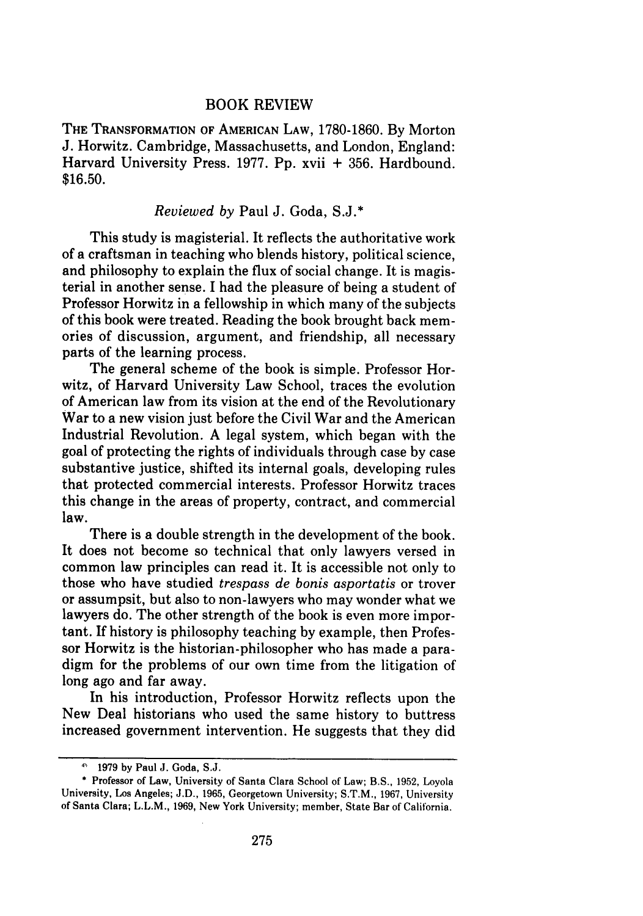## BOOK REVIEW

THE TRANSFORMATION OF AMERICAN LAW, 1780-1860. By Morton J. Horwitz. Cambridge, Massachusetts, and London, England: Harvard University Press. 1977. Pp. xvii + 356. Hardbound. \$16.50.

## *Reviewed by* Paul J. Goda, S.J.\*

This study is magisterial. It reflects the authoritative work of a craftsman in teaching who blends history, political science, and philosophy to explain the flux of social change. It is magisterial in another sense. I had the pleasure of being a student of Professor Horwitz in a fellowship in which many of the subjects of this book were treated. Reading the book brought back memories of discussion, argument, and friendship, all necessary parts of the learning process.

The general scheme of the book is simple. Professor Horwitz, of Harvard University Law School, traces the evolution of American law from its vision at the end of the Revolutionary War to a new vision just before the Civil War and the American Industrial Revolution. A legal system, which began with the goal of protecting the rights of individuals through case by case substantive justice, shifted its internal goals, developing rules that protected commercial interests. Professor Horwitz traces this change in the areas of property, contract, and commercial law.

There is a double strength in the development of the book. It does not become so technical that only lawyers versed in common law principles can read it. It is accessible not only to those who have studied *trespass de bonis asportatis* or trover or assumpsit, but also to non-lawyers who may wonder what we lawyers do. The other strength of the book is even more important. If history is philosophy teaching by example, then Professor Horwitz is the historian-philosopher who has made a paradigm for the problems of our own time from the litigation of long ago and far away.

In his introduction, Professor Horwitz reflects upon the New Deal historians who used the same history to buttress increased government intervention. He suggests that they did

**<sup>1979</sup> by** Paul **J.** Goda, S.J.

<sup>\*</sup> Professor of Law, University of Santa Clara School of Law; B.S., **1952,** Loyola University, Los Angeles; **J.D., 1965,** Georgetown University; S.T.M., **1967,** University of Santa Clara; L.L.M., **1969,** New York University; member, State Bar of California.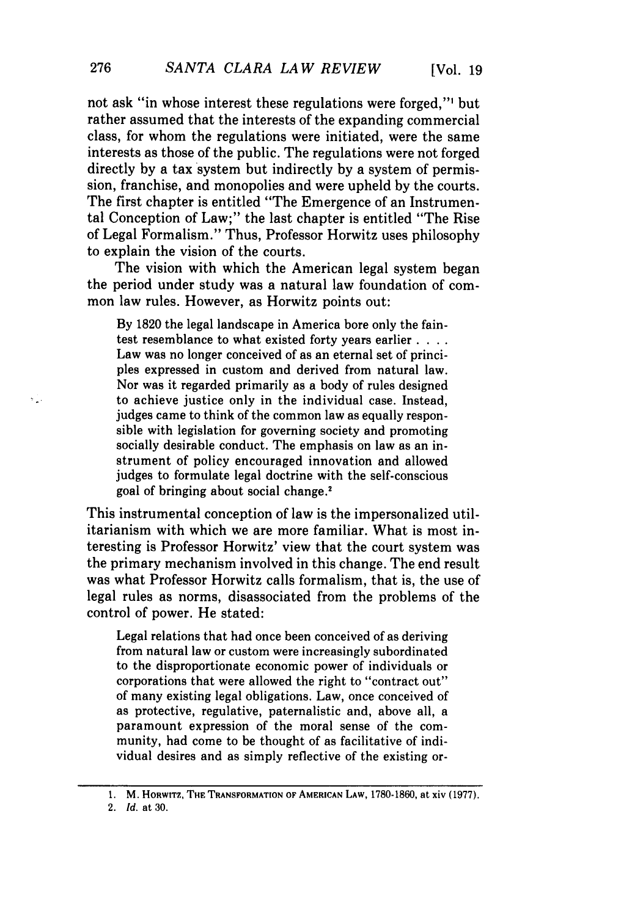not ask "in whose interest these regulations were forged,"' but rather assumed that the interests of the expanding commercial class, for whom the regulations were initiated, were the same interests as those of the public. The regulations were not forged directly by a tax system but indirectly by a system of permission, franchise, and monopolies and were upheld by the courts. The first chapter is entitled "The Emergence of an Instrumental Conception of Law;" the last chapter is entitled "The Rise of Legal Formalism." Thus, Professor Horwitz uses philosophy to explain the vision of the courts.

The vision with which the American legal system began the period under study was a natural law foundation of common law rules. However, as Horwitz points out:

By 1820 the legal landscape in America bore only the faintest resemblance to what existed forty years earlier . **...** Law was no longer conceived of as an eternal set of principles expressed in custom and derived from natural law. Nor was it regarded primarily as a body of rules designed to achieve justice only in the individual case. Instead, judges came to think of the common law as equally responsible with legislation for governing society and promoting socially desirable conduct. The emphasis on law as an instrument of policy encouraged innovation and allowed judges to formulate legal doctrine with the self-conscious goal of bringing about social change.'

This instrumental conception of law is the impersonalized utilitarianism with which we are more familiar. What is most interesting is Professor Horwitz' view that the court system was the primary mechanism involved in this change. The end result was what Professor Horwitz calls formalism, that is, the use of legal rules as norms, disassociated from the problems of the control of power. He stated:

Legal relations that had once been conceived of as deriving from natural law or custom were increasingly subordinated to the disproportionate economic power of individuals or corporations that were allowed the right to "contract out" of many existing legal obligations. Law, once conceived of as protective, regulative, paternalistic and, above all, a paramount expression of the moral sense of the community, had come to be thought of as facilitative of individual desires and as simply reflective of the existing or-

 $\tau_{\rm in}$ 

**<sup>1.</sup>** M. HORWITZ, THE TRANSFORMATION **OF AMERICAN LAW,** 1780-1860, **at xiv (1977).**

<sup>2.</sup> *Id.* at 30.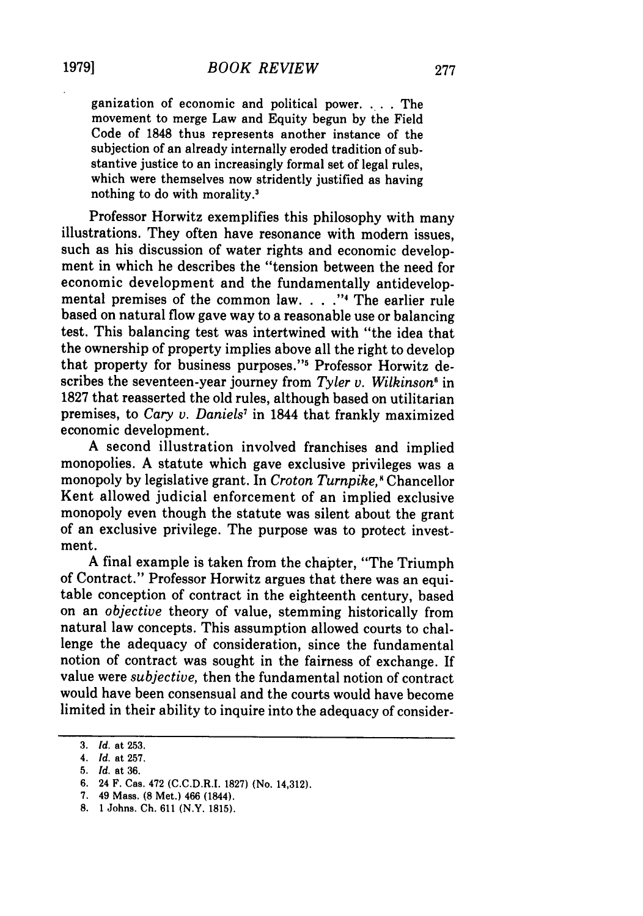ganization of economic and political power. . . The movement to merge Law and Equity begun by the Field Code of 1848 thus represents another instance of the subjection of an already internally eroded tradition of substantive justice to an increasingly formal set of legal rules, which were themselves now stridently justified as having nothing to do with morality.'

Professor Horwitz exemplifies this philosophy with many illustrations. They often have resonance with modem issues, such as his discussion of water rights and economic development in which he describes the "tension between the need for economic development and the fundamentally antidevelopmental premises of the common law. . **.** .**."** The earlier rule based on natural flow gave way to a reasonable use or balancing test. This balancing test was intertwined with "the idea that the ownership of property implies above all the right to develop that property for business purposes."<sup>5</sup> Professor Horwitz describes the seventeen-year journey from *Tyler v. Wilkinson'* in 1827 that reasserted the old rules, although based on utilitarian premises, to *Cary v. Daniels7* in 1844 that frankly maximized economic development.

A second illustration involved franchises and implied monopolies. A statute which gave exclusive privileges was a monopoly by legislative grant. In *Croton Turnpike*,<sup>8</sup> Chancellor Kent allowed judicial enforcement of an implied exclusive monopoly even though the statute was silent about the grant of an exclusive privilege. The purpose was to protect investment.

A final example is taken from the chapter, "The Triumph of Contract." Professor Horwitz argues that there was an equitable conception of contract in the eighteenth century, based on an *objective* theory of value, stemming historically from natural law concepts. This assumption allowed courts to challenge the adequacy of consideration, since the fundamental notion of contract was sought in the fairness of exchange. If value were *subjective,* then the fundamental notion of contract would have been consensual and the courts would have become limited in their ability to inquire into the adequacy of consider-

<sup>3.</sup> *Id.* at 253.

*<sup>4.</sup> Id.* at 257.

<sup>5.</sup> *Id.* at 36.

<sup>6. 24</sup> F. Cas. 472 (C.C.D.R.I. 1827) (No. 14,312).

<sup>7. 49</sup> Mass. **(8** Met.) 466 (1844).

**<sup>8.</sup>** 1 Johns. **Ch. 611** (N.Y. **1815).**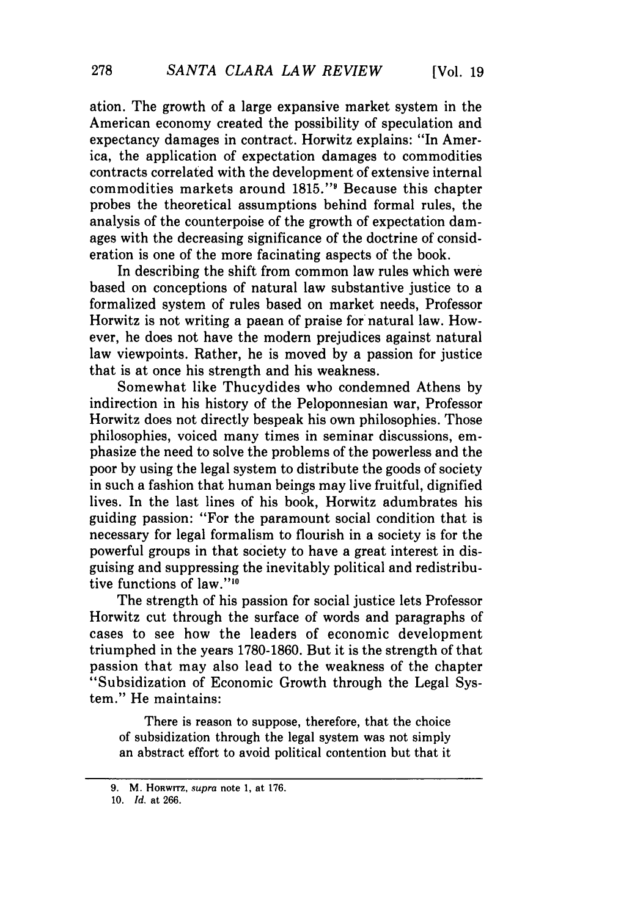ation. The growth of a large expansive market system in the American economy created the possibility of speculation and expectancy damages in contract. Horwitz explains: "In America, the application of expectation damages to commodities contracts correlated with the development of extensive internal commodities markets around 1815."<sup>9</sup> Because this chapter probes the theoretical assumptions behind formal rules, the analysis of the counterpoise of the growth of expectation damages with the decreasing significance of the doctrine of consideration is one of the more facinating aspects of the book.

In describing the shift from common law rules which were based on conceptions of natural law substantive justice to a formalized system of rules based on market needs, Professor Horwitz is not writing a paean of praise for natural law. However, he does not have the modern prejudices against natural law viewpoints. Rather, he is moved by a passion for justice that is at once his strength and his weakness.

Somewhat like Thucydides who condemned Athens by indirection in his history of the Peloponnesian war, Professor Horwitz does not directly bespeak his own philosophies. Those philosophies, voiced many times in seminar discussions, emphasize the need to solve the problems of the powerless and the poor by using the legal system to distribute the goods of society in such a fashion that human beings may live fruitful, dignified lives. In the last lines of his book, Horwitz adumbrates his guiding passion: "For the paramount social condition that is necessary for legal formalism to flourish in a society is for the powerful groups in that society to have a great interest in disguising and suppressing the inevitably political and redistributive functions of law."<sup>10</sup>

The strength of his passion for social justice lets Professor Horwitz cut through the surface of words and paragraphs of cases to see how the leaders of economic development triumphed in the years 1780-1860. But it is the strength of that passion that may also lead to the weakness of the chapter "Subsidization of Economic Growth through the Legal System." He maintains:

There is reason to suppose, therefore, that the choice of subsidization through the legal system was not simply an abstract effort to avoid political contention but that it

**<sup>9.</sup>** M. HORWITZ, supra **note** 1, at **176.**

*<sup>10.</sup>* Id. **at** 266.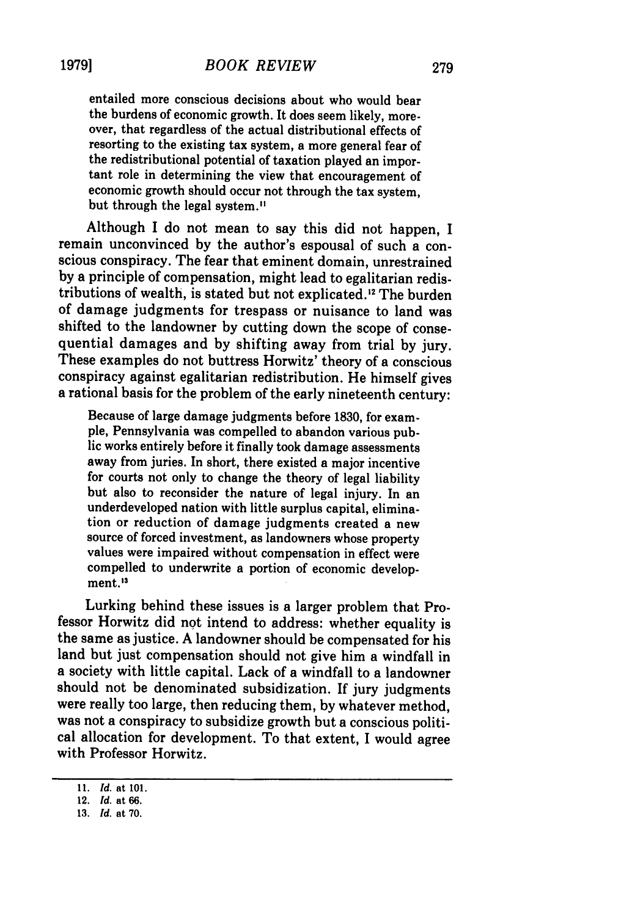entailed more conscious decisions about who would bear the burdens of economic growth. It does seem likely, moreover, that regardless of the actual distributional effects of resorting to the existing tax system, a more general fear of the redistributional potential of taxation played an important role in determining the view that encouragement of economic growth should occur not through the tax system, but through the legal system."

Although I do not mean to say this did not happen, I remain unconvinced by the author's espousal of such a conscious conspiracy. The fear that eminent domain, unrestrained by a principle of compensation, might lead to egalitarian redistributions of wealth, is stated but not explicated.<sup>12</sup> The burden of damage judgments for trespass or nuisance to land was shifted to the landowner by cutting down the scope of consequential damages and by shifting away from trial by jury. These examples do not buttress Horwitz' theory of a conscious conspiracy against egalitarian redistribution. He himself gives a rational basis for the problem of the early nineteenth century:

Because of large damage judgments before **1830,** for example, Pennsylvania was compelled to abandon various public works entirely before it finally took damage assessments away from juries. In short, there existed a major incentive for courts not only to change the theory of legal liability but also to reconsider the nature of legal injury. In an underdeveloped nation with little surplus capital, elimination or reduction of damage judgments created a new source of forced investment, as landowners whose property values were impaired without compensation in effect were compelled to underwrite a portion of economic development.<sup>13</sup>

Lurking behind these issues is a larger problem that Professor Horwitz did not intend to address: whether equality is the same as justice. A landowner should be compensated for his land but just compensation should not give him a windfall in a society with little capital. Lack of a windfall to a landowner should not be denominated subsidization. If jury judgments were really too large, then reducing them, by whatever method, was not a conspiracy to subsidize growth but a conscious political allocation for development. To that extent, I would agree with Professor Horwitz.

*<sup>11.</sup> Id.* at **101.**

**<sup>12.</sup>** *Id.* at **66.**

**<sup>13.</sup>** *Id.* at **70.**